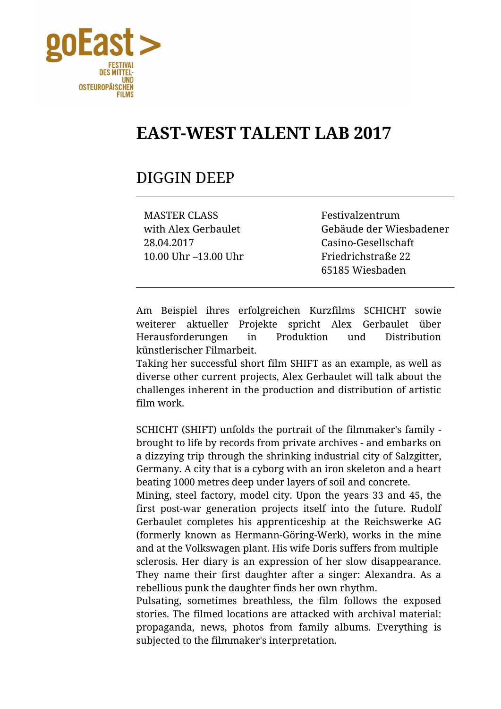

## **EAST-WEST TALENT LAB 2017**

## DIGGIN DEEP

MASTER CLASS Festivalzentrum 28.04.2017 Casino-Gesellschaft 10.00 Uhr –13.00 Uhr Friedrichstraße 22

with Alex Gerbaulet Gebäude der Wiesbadener 65185 Wiesbaden

Am Beispiel ihres erfolgreichen Kurzfilms SCHICHT sowie weiterer aktueller Projekte spricht Alex Gerbaulet über Herausforderungen in Produktion und Distribution künstlerischer Filmarbeit.

Taking her successful short film SHIFT as an example, as well as diverse other current projects, Alex Gerbaulet will talk about the challenges inherent in the production and distribution of artistic film work.

SCHICHT (SHIFT) unfolds the portrait of the filmmaker's family brought to life by records from private archives - and embarks on a dizzying trip through the shrinking industrial city of Salzgitter, Germany. A city that is a cyborg with an iron skeleton and a heart beating 1000 metres deep under layers of soil and concrete.

Mining, steel factory, model city. Upon the years 33 and 45, the first post-war generation projects itself into the future. Rudolf Gerbaulet completes his apprenticeship at the Reichswerke AG (formerly known as Hermann-Göring-Werk), works in the mine and at the Volkswagen plant. His wife Doris suffers from multiple sclerosis. Her diary is an expression of her slow disappearance. They name their first daughter after a singer: Alexandra. As a rebellious punk the daughter finds her own rhythm.

Pulsating, sometimes breathless, the film follows the exposed stories. The filmed locations are attacked with archival material: propaganda, news, photos from family albums. Everything is subjected to the filmmaker's interpretation.